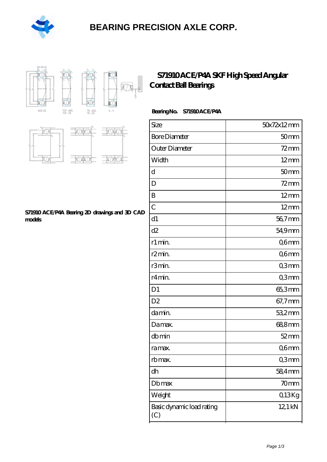

### **[BEARING PRECISION AXLE CORP.](https://m.hilalanaokulu.com)**



### **[S71910 ACE/P4A SKF High Speed Angular](https://m.hilalanaokulu.com/skf-bearings/s71910-ace-p4a.html) [Contact Ball Bearings](https://m.hilalanaokulu.com/skf-bearings/s71910-ace-p4a.html)**

#### **Bearing No. S71910 ACE/P4A**

| Size                             | 50x72x12mm       |
|----------------------------------|------------------|
| <b>Bore Diameter</b>             | 50 <sub>mm</sub> |
| Outer Diameter                   | $72$ mm          |
| Width                            | $12 \text{mm}$   |
| d                                | 50 <sub>mm</sub> |
| D                                | $72$ mm          |
| B                                | $12 \text{mm}$   |
| $\overline{C}$                   | $12 \text{mm}$   |
| d1                               | 56,7mm           |
| d2                               | 54,9mm           |
| r1 min.                          | Q6mm             |
| r <sub>2</sub> min.              | Q6mm             |
| r3min.                           | Q3mm             |
| r4 min.                          | Q3mm             |
| D <sub>1</sub>                   | 65,3mm           |
| D <sub>2</sub>                   | 67,7mm           |
| da min.                          | 53,2mm           |
| Damax.                           | 688mm            |
| dbmin                            | $52$ mm          |
| ra max.                          | Q6mm             |
| rb max.                          | Q3mm             |
| dh                               | 58,4mm           |
| Dbmax                            | 70 <sub>mm</sub> |
| Weight                           | Q13Kg            |
| Basic dynamic load rating<br>(C) | 12,1 kN          |



#### **[S71910 ACE/P4A Bearing 2D drawings and 3D CAD](https://m.hilalanaokulu.com/pic-660637.html) [models](https://m.hilalanaokulu.com/pic-660637.html)**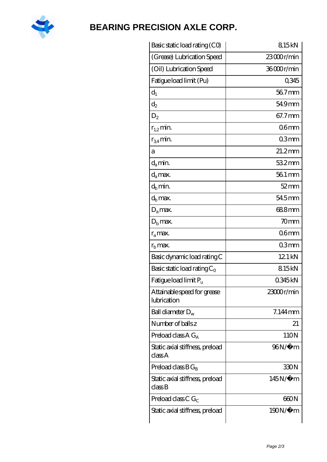

# **[BEARING PRECISION AXLE CORP.](https://m.hilalanaokulu.com)**

| Basic static load rating (CO)              | 815kN            |
|--------------------------------------------|------------------|
| (Grease) Lubrication Speed                 | 23000r/min       |
| (Oil) Lubrication Speed                    | 36000r/min       |
| Fatigue load limit (Pu)                    | 0345             |
| $d_1$                                      | 56.7mm           |
| $d_2$                                      | 549mm            |
| $D_2$                                      | 67.7mm           |
| $r_{1,2}$ min.                             | 06 <sub>mm</sub> |
| $r_{34}$ min.                              | 03mm             |
| а                                          | $21.2$ mm        |
| $d_a$ min.                                 | 532mm            |
| $d_a$ max.                                 | 56.1 mm          |
| $d_b$ min.                                 | $52$ mm          |
| d <sub>b</sub> max.                        | 54.5mm           |
| $D_a$ max.                                 | 688mm            |
| $Db$ max.                                  | 70mm             |
| $r_a$ max.                                 | 06 <sub>mm</sub> |
| $rb$ max.                                  | 03mm             |
| Basic dynamic load rating C                | 12.1 kN          |
| Basic static load rating $C_0$             | 815kN            |
| Fatigue load limit Pu                      | 0345kN           |
| Attainable speed for grease<br>lubrication | 23000r/min       |
| Ball diameter $D_w$                        | $7.144$ mm       |
| Number of balls z                          | 21               |
| Preload class $AG_A$                       | 110N             |
| Static axial stiffness, preload<br>classA  | 96N/μ m          |
| Preload class $BG_R$                       | 330N             |
| Static axial stiffness, preload<br>classB  | $145N/\mu$ m     |
| Preload class C $G_C$                      | 660N             |
| Static axial stiffness, preload            | 190N/μ m         |